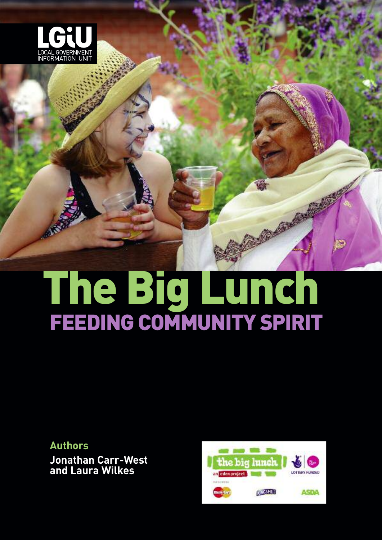

# **The Big Lunch FEEDING COMMUNITY SPIRIT**

#### **Authors**

**Jonathan Carr-West and Laura Wilkes**



**SEPTEMBER**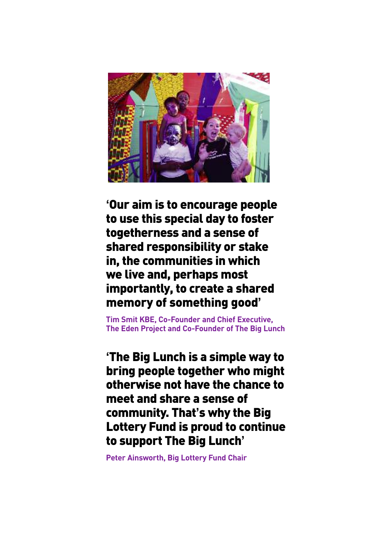

**'Our aim is to encourage people to use this special day to foster togetherness and a sense of shared responsibility or stake in, the communities in which we live and, perhaps most importantly, to create a shared memory of something good'**

**Tim Smit KBE, Co-Founder and Chief Executive, The Eden Project and Co-Founder of The Big Lunch**

**'The Big Lunch is a simple way to bring people together who might otherwise not have the chance to meet and share a sense of community. That's why the Big Lottery Fund is proud to continue to support The Big Lunch'**

**Peter Ainsworth, Big Lottery Fund Chair**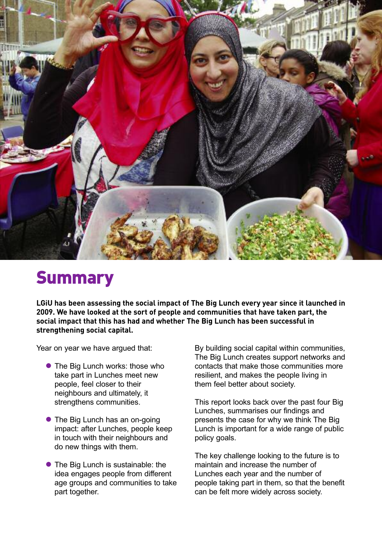

## **Summary**

**LGiU has been assessing the social impact of The Big Lunch every year since it launched in 2009. We have looked at the sort of people and communities that have taken part, the social impact that this has had and whether The Big Lunch has been successful in strengthening social capital.**

Year on year we have arqued that:

- **The Big Lunch works: those who** take part in Lunches meet new people, feel closer to their neighbours and ultimately, it strengthens communities.
- **The Big Lunch has an on-going** impact: after Lunches, people keep in touch with their neighbours and do new things with them.
- The Big Lunch is sustainable: the idea engages people from different age groups and communities to take part together.

By building social capital within communities, The Big Lunch creates support networks and contacts that make those communities more resilient, and makes the people living in them feel better about society.

This report looks back over the past four Big Lunches, summarises our findings and presents the case for why we think The Big Lunch is important for a wide range of public policy goals.

The key challenge looking to the future is to maintain and increase the number of Lunches each year and the number of people taking part in them, so that the benefit can be felt more widely across society.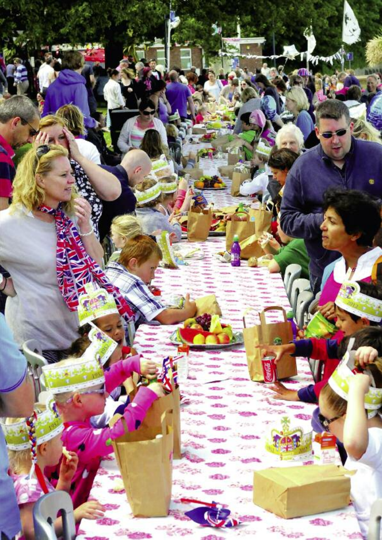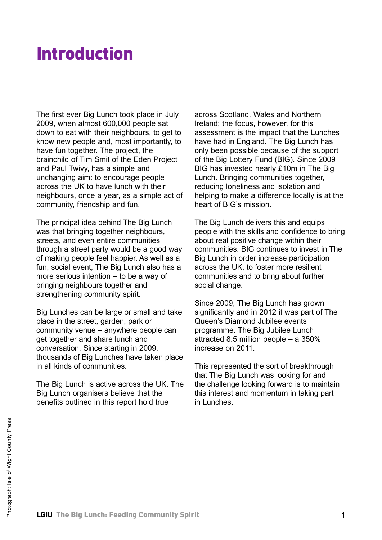# **Introduction**

The first ever Big Lunch took place in July 2009, when almost 600,000 people sat down to eat with their neighbours, to get to know new people and, most importantly, to have fun together. The project, the brainchild of Tim Smit of the Eden Project and Paul Twivy, has a simple and unchanging aim: to encourage people across the UK to have lunch with their neighbours, once a year, as a simple act of community, friendship and fun.

The principal idea behind The Big Lunch was that bringing together neighbours, streets, and even entire communities through a street party would be a good way of making people feel happier. As well as a fun, social event, The Big Lunch also has a more serious intention – to be a way of bringing neighbours together and strengthening community spirit.

Big Lunches can be large or small and take place in the street, garden, park or community venue – anywhere people can get together and share lunch and conversation. Since starting in 2009, thousands of Big Lunches have taken place in all kinds of communities.

The Big Lunch is active across the UK. The Big Lunch organisers believe that the benefits outlined in this report hold true

across Scotland, Wales and Northern Ireland; the focus, however, for this assessment is the impact that the Lunches have had in England. The Big Lunch has only been possible because of the support of the Big Lottery Fund (BIG). Since 2009 BIG has invested nearly £10m in The Big Lunch. Bringing communities together, reducing loneliness and isolation and helping to make a difference locally is at the heart of BIG's mission.

The Big Lunch delivers this and equips people with the skills and confidence to bring about real positive change within their communities. BIG continues to invest in The Big Lunch in order increase participation across the UK, to foster more resilient communities and to bring about further social change.

Since 2009, The Big Lunch has grown significantly and in 2012 it was part of The Queen's Diamond Jubilee events programme. The Big Jubilee Lunch attracted 8.5 million people – a 350% increase on 2011.

This represented the sort of breakthrough that The Big Lunch was looking for and the challenge looking forward is to maintain this interest and momentum in taking part in Lunches.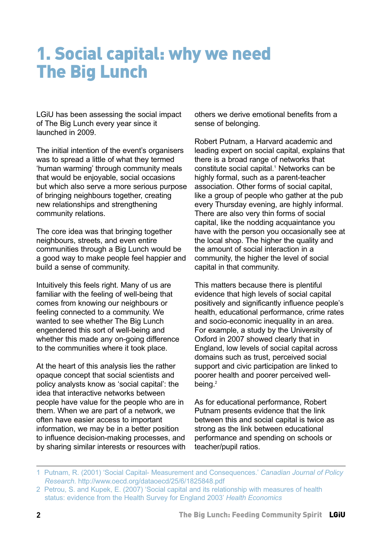# **1. Social capital: why we need The Big Lunch**

LGiU has been assessing the social impact of The Big Lunch every year since it launched in 2009.

The initial intention of the event's organisers was to spread a little of what they termed 'human warming' through community meals that would be enjoyable, social occasions but which also serve a more serious purpose of bringing neighbours together, creating new relationships and strengthening community relations.

The core idea was that bringing together neighbours, streets, and even entire communities through a Big Lunch would be a good way to make people feel happier and build a sense of community.

Intuitively this feels right. Many of us are familiar with the feeling of well-being that comes from knowing our neighbours or feeling connected to a community. We wanted to see whether The Big Lunch engendered this sort of well-being and whether this made any on-going difference to the communities where it took place.

At the heart of this analysis lies the rather opaque concept that social scientists and policy analysts know as 'social capital': the idea that interactive networks between people have value for the people who are in them. When we are part of a network, we often have easier access to important information, we may be in a better position to influence decision-making processes, and by sharing similar interests or resources with others we derive emotional benefits from a sense of belonging.

Robert Putnam, a Harvard academic and leading expert on social capital, explains that there is a broad range of networks that constitute social capital. <sup>1</sup> Networks can be highly formal, such as a parent-teacher association. Other forms of social capital, like a group of people who gather at the pub every Thursday evening, are highly informal. There are also very thin forms of social capital, like the nodding acquaintance you have with the person you occasionally see at the local shop. The higher the quality and the amount of social interaction in a community, the higher the level of social capital in that community.

This matters because there is plentiful evidence that high levels of social capital positively and significantly influence people's health, educational performance, crime rates and socio-economic inequality in an area. For example, a study by the University of Oxford in 2007 showed clearly that in England, low levels of social capital across domains such as trust, perceived social support and civic participation are linked to poorer health and poorer perceived wellbeing. 2

As for educational performance, Robert Putnam presents evidence that the link between this and social capital is twice as strong as the link between educational performance and spending on schools or teacher/pupil ratios.

<sup>1</sup> Putnam, R. (2001) 'Social Capital- Measurement and Consequences.' *Canadian Journal of Policy Research*. http://www.oecd.org/dataoecd/25/6/1825848.pdf

<sup>2</sup> Petrou, S. and Kupek, E. (2007) 'Social capital and its relationship with measures of health status: evidence from the Health Survey for England 2003' *Health Economics*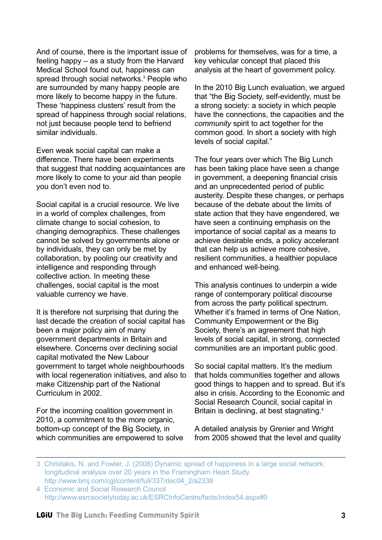And of course, there is the important issue of feeling happy – as a study from the Harvard Medical School found out, happiness can spread through social networks. <sup>3</sup> People who are surrounded by many happy people are more likely to become happy in the future. These 'happiness clusters' result from the spread of happiness through social relations, not just because people tend to befriend similar individuals.

Even weak social capital can make a difference. There have been experiments that suggest that nodding acquaintances are more likely to come to your aid than people you don't even nod to.

Social capital is a crucial resource. We live in a world of complex challenges, from climate change to social cohesion, to changing demographics. These challenges cannot be solved by governments alone or by individuals, they can only be met by collaboration, by pooling our creativity and intelligence and responding through collective action. In meeting these challenges, social capital is the most valuable currency we have.

It is therefore not surprising that during the last decade the creation of social capital has been a major policy aim of many government departments in Britain and elsewhere. Concerns over declining social capital motivated the New Labour government to target whole neighbourhoods with local regeneration initiatives, and also to make Citizenship part of the National Curriculum in 2002.

For the incoming coalition government in 2010, a commitment to the more organic, bottom-up concept of the Big Society, in which communities are empowered to solve problems for themselves, was for a time, a key vehicular concept that placed this analysis at the heart of government policy.

In the 2010 Big Lunch evaluation, we argued that "the Big Society, self-evidently, must be a strong society: a society in which people have the connections, the capacities and the *community* spirit to act together for the common good. In short a society with high levels of social capital."

The four years over which The Big Lunch has been taking place have seen a change in government, a deepening financial crisis and an unprecedented period of public austerity. Despite these changes, or perhaps because of the debate about the limits of state action that they have engendered, we have seen a continuing emphasis on the importance of social capital as a means to achieve desirable ends, a policy accelerant that can help us achieve more cohesive, resilient communities, a healthier populace and enhanced well-being.

This analysis continues to underpin a wide range of contemporary political discourse from across the party political spectrum. Whether it's framed in terms of One Nation, Community Empowerment or the Big Society, there's an agreement that high levels of social capital, in strong, connected communities are an important public good.

So social capital matters. It's the medium that holds communities together and allows good things to happen and to spread. But it's also in crisis. According to the Economic and Social Research Council, social capital in Britain is declining, at best stagnating. 4

A detailed analysis by Grenier and Wright from 2005 showed that the level and quality

<sup>3</sup> Christakis, N. and Fowler, J. (2008) Dynamic spread of happiness in a large social network: longitudinal analysis over 20 years in the Framingham Heart Study. http://www.bmj.com/cgi/content/full/337/dec04\_2/a2338

<sup>4</sup> Economic and Social Research Council http://www.esrcsocietytoday.ac.uk/ESRCInfoCentre/facts/index54.aspx#0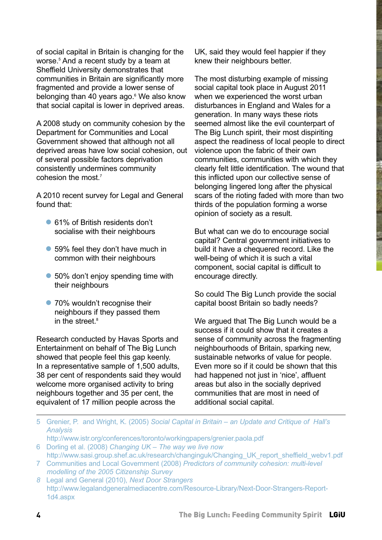of social capital in Britain is changing for the worse. <sup>5</sup> And a recent study by a team at Sheffield University demonstrates that communities in Britain are significantly more fragmented and provide a lower sense of belonging than 40 years ago. <sup>6</sup> We also know that social capital is lower in deprived areas.

A 2008 study on community cohesion by the Department for Communities and Local Government showed that although not all deprived areas have low social cohesion, out of several possible factors deprivation consistently undermines community cohesion the most. 7

A 2010 recent survey for Legal and General found that:

- 61% of British residents don't socialise with their neighbours
- 59% feel they don't have much in common with their neighbours
- 50% don't enjoy spending time with their neighbours
- 70% wouldn't recognise their neighbours if they passed them in the street. 8

Research conducted by Havas Sports and Entertainment on behalf of The Big Lunch showed that people feel this gap keenly. In a representative sample of 1,500 adults, 38 per cent of respondents said they would welcome more organised activity to bring neighbours together and 35 per cent, the equivalent of 17 million people across the

UK, said they would feel happier if they knew their neighbours better.

The most disturbing example of missing social capital took place in August 2011 when we experienced the worst urban disturbances in England and Wales for a generation. In many ways these riots seemed almost like the evil counterpart of The Big Lunch spirit, their most dispiriting aspect the readiness of local people to direct violence upon the fabric of their own communities, communities with which they clearly felt little identification. The wound that this inflicted upon our collective sense of belonging lingered long after the physical scars of the rioting faded with more than two thirds of the population forming a worse opinion of society as a result.

But what can we do to encourage social capital? Central government initiatives to build it have a chequered record. Like the well-being of which it is such a vital component, social capital is difficult to encourage directly.

So could The Big Lunch provide the social capital boost Britain so badly needs?

We argued that The Big Lunch would be a success if it could show that it creates a sense of community across the fragmenting neighbourhoods of Britain, sparking new, sustainable networks of value for people. Even more so if it could be shown that this had happened not just in 'nice', affluent areas but also in the socially deprived communities that are most in need of additional social capital.

- 5 Grenier, P. and Wright, K. (2005) *Social Capital in Britain – an Update and Critique of Hall's Analysis*
- http://www.istr.org/conferences/toronto/workingpapers/grenier.paola.pdf 6 Dorling et al. (2008) *Changing UK – The way we live now*
- http://www.sasi.group.shef.ac.uk/research/changinguk/Changing\_UK\_report\_sheffield\_webv1.pdf 7 Communities and Local Government (2008) *Predictors of community cohesion: multi-level*
- *modelling of the 2005 Citizenship Survey 8* Legal and General (2010), *Next Door Strangers*
- http://www.legalandgeneralmediacentre.com/Resource-Library/Next-Door-Strangers-Report-1d4.aspx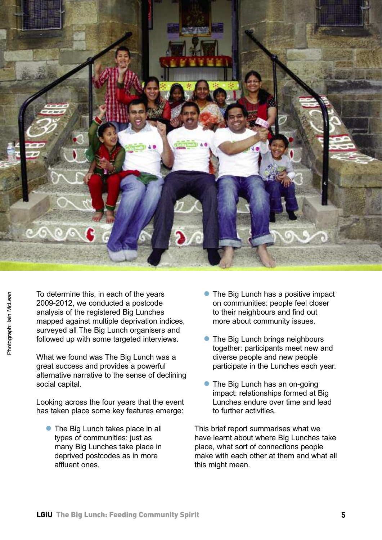

To determine this, in each of the years 2009-2012, we conducted a postcode analysis of the registered Big Lunches mapped against multiple deprivation indices, surveyed all The Big Lunch organisers and followed up with some targeted interviews.

What we found was The Big Lunch was a great success and provides a powerful alternative narrative to the sense of declining social capital.

Looking across the four years that the event has taken place some key features emerge:

**• The Big Lunch takes place in all** types of communities: just as many Big Lunches take place in deprived postcodes as in more affluent ones.

- **The Big Lunch has a positive impact** on communities: people feel closer to their neighbours and find out more about community issues.
- The Big Lunch brings neighbours together: participants meet new and diverse people and new people participate in the Lunches each year.
- **The Big Lunch has an on-going** impact: relationships formed at Big Lunches endure over time and lead to further activities.

This brief report summarises what we have learnt about where Big Lunches take place, what sort of connections people make with each other at them and what all this might mean.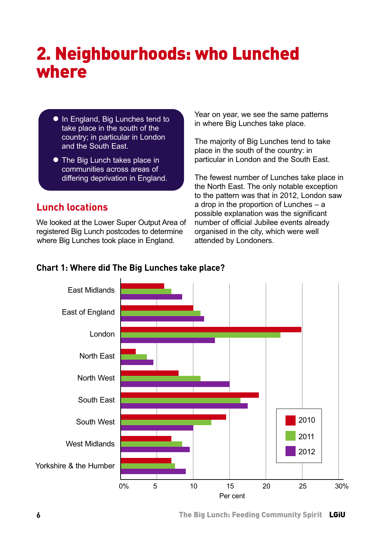# **2. Neighbourhoods: who Lunched where**

- **In England, Big Lunches tend to** take place in the south of the country; in particular in London and the South East.
- The Big Lunch takes place in communities across areas of differing deprivation in England.

### **Lunch locations**

We looked at the Lower Super Output Area of registered Big Lunch postcodes to determine where Big Lunches took place in England.

Year on year, we see the same patterns in where Big Lunches take place.

The majority of Big Lunches tend to take place in the south of the country: in particular in London and the South East.

The fewest number of Lunches take place in the North East. The only notable exception to the pattern was that in 2012, London saw a drop in the proportion of Lunches – a possible explanation was the significant number of official Jubilee events already organised in the city, which were well attended by Londoners.

### East Midlands East of England London North East North West South East South West West Midlands Yorkshire & the Humber 0% 5 10 15 20 25 30% Per cent 2010 2011 2012

#### **Chart 1: Where did The Big Lunches take place?**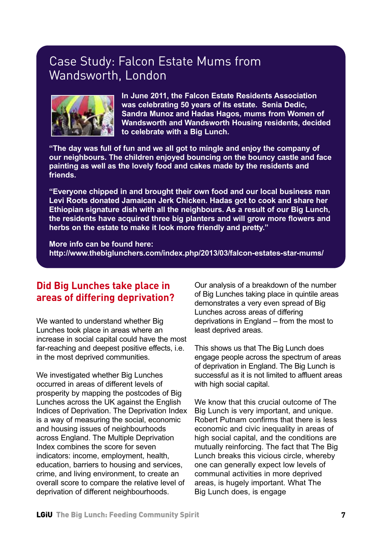### Case Study: Falcon Estate Mums from Wandsworth, London



**In June 2011, the Falcon Estate Residents Association was celebrating 50 years of its estate. Senia Dedic, Sandra Munoz and Hadas Hagos, mums from Women of Wandsworth and Wandsworth Housing residents, decided to celebrate with a Big Lunch.**

**"The day was full of fun and we all got to mingle and enjoy the company of our neighbours. The children enjoyed bouncing on the bouncy castle and face painting as well as the lovely food and cakes made by the residents and friends.**

**"Everyone chipped in and brought their own food and our local business man Levi Roots donated Jamaican Jerk Chicken. Hadas got to cook and share her Ethiopian signature dish with all the neighbours. As a result of our Big Lunch, the residents have acquired three big planters and will grow more flowers and herbs on the estate to make it look more friendly and pretty."**

**More info can be found here: http://www.thebiglunchers.com/index.php/2013/03/falcon-estates-star-mums/**

### **Did Big Lunches take place in areas of differing deprivation?**

We wanted to understand whether Big Lunches took place in areas where an increase in social capital could have the most far-reaching and deepest positive effects, i.e. in the most deprived communities.

We investigated whether Big Lunches occurred in areas of different levels of prosperity by mapping the postcodes of Big Lunches across the UK against the English Indices of Deprivation. The Deprivation Index is a way of measuring the social, economic and housing issues of neighbourhoods across England. The Multiple Deprivation Index combines the score for seven indicators: income, employment, health, education, barriers to housing and services, crime, and living environment, to create an overall score to compare the relative level of deprivation of different neighbourhoods.

Our analysis of a breakdown of the number of Big Lunches taking place in quintile areas demonstrates a very even spread of Big Lunches across areas of differing deprivations in England – from the most to least deprived areas.

This shows us that The Big Lunch does engage people across the spectrum of areas of deprivation in England. The Big Lunch is successful as it is not limited to affluent areas with high social capital.

We know that this crucial outcome of The Big Lunch is very important, and unique. Robert Putnam confirms that there is less economic and civic inequality in areas of high social capital, and the conditions are mutually reinforcing. The fact that The Big Lunch breaks this vicious circle, whereby one can generally expect low levels of communal activities in more deprived areas, is hugely important. What The Big Lunch does, is engage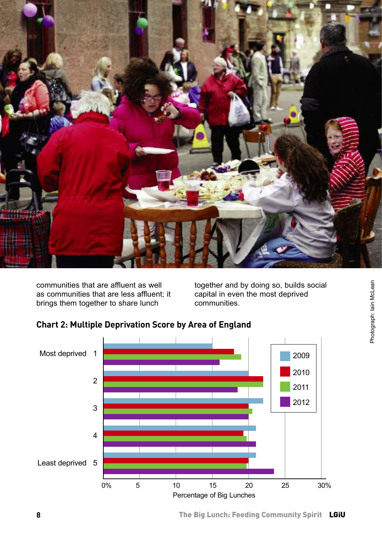

communities that are affluent as well as communities that are less affluent; it brings them together to share lunch

together and by doing so, builds social capital in even the most deprived communities.

### **Chart 2: Multiple Deprivation Score by Area of England**

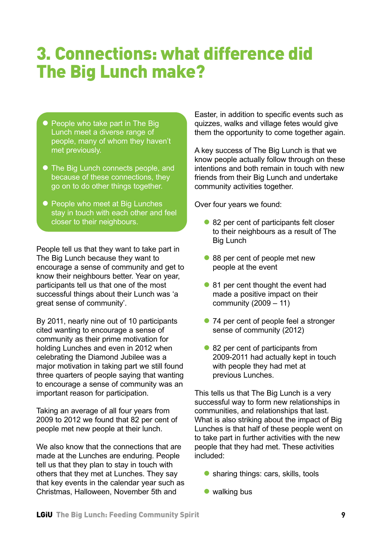# **3. Connections: what difference did The Big Lunch make?**

- People who take part in The Big Lunch meet a diverse range of people, many of whom they haven't met previously.
- **The Big Lunch connects people, and** because of these connections, they go on to do other things together.
- People who meet at Big Lunches stay in touch with each other and feel closer to their neighbours.

People tell us that they want to take part in The Big Lunch because they want to encourage a sense of community and get to know their neighbours better. Year on year, participants tell us that one of the most successful things about their Lunch was 'a great sense of community'.

By 2011, nearly nine out of 10 participants cited wanting to encourage a sense of community as their prime motivation for holding Lunches and even in 2012 when celebrating the Diamond Jubilee was a major motivation in taking part we still found three quarters of people saying that wanting to encourage a sense of community was an important reason for participation.

Taking an average of all four years from 2009 to 2012 we found that 82 per cent of people met new people at their lunch.

We also know that the connections that are made at the Lunches are enduring. People tell us that they plan to stay in touch with others that they met at Lunches. They say that key events in the calendar year such as Christmas, Halloween, November 5th and

Easter, in addition to specific events such as quizzes, walks and village fetes would give them the opportunity to come together again.

A key success of The Big Lunch is that we know people actually follow through on these intentions and both remain in touch with new friends from their Big Lunch and undertake community activities together.

Over four years we found:

- 82 per cent of participants felt closer to their neighbours as a result of The Big Lunch
- 88 per cent of people met new people at the event
- 81 per cent thought the event had made a positive impact on their community (2009 – 11)
- 74 per cent of people feel a stronger sense of community (2012)
- 82 per cent of participants from 2009-2011 had actually kept in touch with people they had met at previous Lunches.

This tells us that The Big Lunch is a very successful way to form new relationships in communities, and relationships that last. What is also striking about the impact of Big Lunches is that half of these people went on to take part in further activities with the new people that they had met. These activities included:

- sharing things: cars, skills, tools
- $\bullet$  walking bus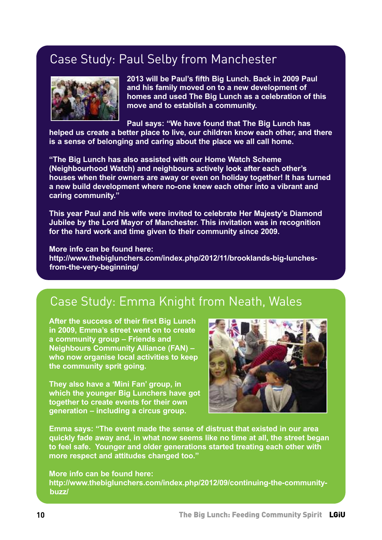### Case Study: Paul Selby from Manchester



**2013 will be Paul's fifth Big Lunch. Back in 2009 Paul and his family moved on to a new development of homes and used The Big Lunch as a celebration of this move and to establish a community.**

**Paul says: "We have found that The Big Lunch has**

**helped us create a better place to live, our children know each other, and there is a sense of belonging and caring about the place we all call home.**

**"The Big Lunch has also assisted with our Home Watch Scheme (Neighbourhood Watch) and neighbours actively look after each other's houses when their owners are away or even on holiday together! It has turned a new build development where no-one knew each other into a vibrant and caring community."**

**This year Paul and his wife were invited to celebrate Her Majesty's Diamond Jubilee by the Lord Mayor of Manchester. This invitation was in recognition for the hard work and time given to their community since 2009.**

**More info can be found here: http://www.thebiglunchers.com/index.php/2012/11/brooklands-big-lunchesfrom-the-very-beginning/**

### Case Study: Emma Knight from Neath, Wales

**After the success of their first Big Lunch in 2009, Emma's street went on to create a community group – Friends and Neighbours Community Alliance (FAN) – who now organise local activities to keep the community sprit going.**

**They also have a 'Mini Fan' group, in which the younger Big Lunchers have got together to create events for their own generation – including a circus group.**



**Emma says: "The event made the sense of distrust that existed in our area quickly fade away and, in what now seems like no time at all, the street began to feel safe. Younger and older generations started treating each other with more respect and attitudes changed too."**

**More info can be found here: http://www.thebiglunchers.com/index.php/2012/09/continuing-the-communitybuzz/**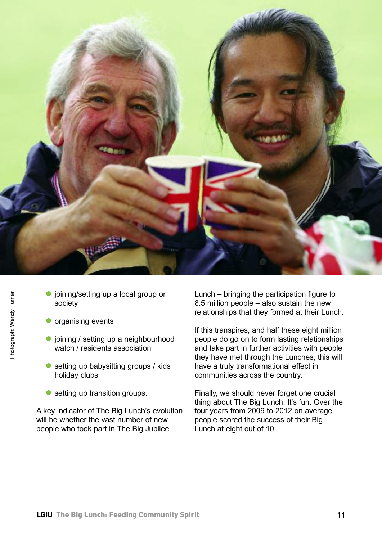

- **l** joining/setting up a local group or society
- **O** organising events
- **led** joining / setting up a neighbourhood watch / residents association
- $\bullet$  setting up babysitting groups / kids holiday clubs
- setting up transition groups.

A key indicator of The Big Lunch's evolution will be whether the vast number of new people who took part in The Big Jubilee

Lunch – bringing the participation figure to 8.5 million people – also sustain the new relationships that they formed at their Lunch.

If this transpires, and half these eight million people do go on to form lasting relationships and take part in further activities with people they have met through the Lunches, this will have a truly transformational effect in communities across the country.

Finally, we should never forget one crucial thing about The Big Lunch. It's fun. Over the four years from 2009 to 2012 on average people scored the success of their Big Lunch at eight out of 10.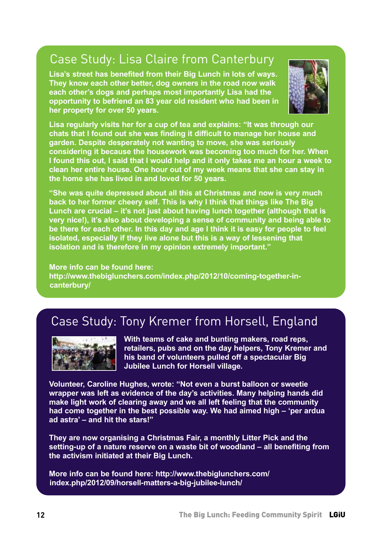### Case Study: Lisa Claire from Canterbury

**Lisa's street has benefited from their Big Lunch in lots of ways. They know each other better, dog owners in the road now walk each other's dogs and perhaps most importantly Lisa had the opportunity to befriend an 83 year old resident who had been in her property for over 50 years.**



**Lisa regularly visits her for a cup of tea and explains: "It was through our chats that I found out she was finding it difficult to manage her house and garden. Despite desperately not wanting to move, she was seriously considering it because the housework was becoming too much for her. When I found this out, I said that I would help and it only takes me an hour a week to clean her entire house. One hour out of my week means that she can stay in the home she has lived in and loved for 50 years.**

**"She was quite depressed about all this at Christmas and now is very much back to her former cheery self. This is why I think that things like The Big Lunch are crucial – it's not just about having lunch together (although that is very nice!), it's also about developing a sense of community and being able to be there for each other. In this day and age I think it is easy for people to feel isolated, especially if they live alone but this is a way of lessening that isolation and is therefore in my opinion extremely important."**

**More info can be found here: http://www.thebiglunchers.com/index.php/2012/10/coming-together-incanterbury/**

### Case Study: Tony Kremer from Horsell, England



**With teams of cake and bunting makers, road reps, retailers, pubs and on the day helpers, Tony Kremer and his band of volunteers pulled off a spectacular Big Jubilee Lunch for Horsell village.**

**Volunteer, Caroline Hughes, wrote: "Not even a burst balloon or sweetie wrapper was left as evidence of the day's activities. Many helping hands did make light work of clearing away and we all left feeling that the community had come together in the best possible way. We had aimed high – 'per ardua ad astra' – and hit the stars!"**

**They are now organising a Christmas Fair, a monthly Litter Pick and the setting-up of a nature reserve on a waste bit of woodland – all benefiting from the activism initiated at their Big Lunch.**

**More info can be found here: http://www.thebiglunchers.com/ index.php/2012/09/horsell-matters-a-big-jubilee-lunch/**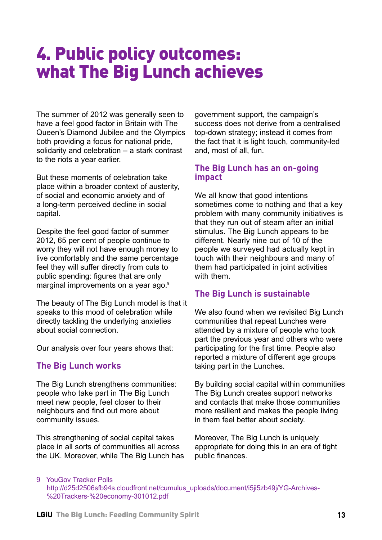# **4. Public policy outcomes: what The Big Lunch achieves**

The summer of 2012 was generally seen to have a feel good factor in Britain with The Queen's Diamond Jubilee and the Olympics both providing a focus for national pride, solidarity and celebration – a stark contrast to the riots a year earlier.

But these moments of celebration take place within a broader context of austerity, of social and economic anxiety and of a long-term perceived decline in social capital.

Despite the feel good factor of summer 2012, 65 per cent of people continue to worry they will not have enough money to live comfortably and the same percentage feel they will suffer directly from cuts to public spending: figures that are only marginal improvements on a year ago. 9

The beauty of The Big Lunch model is that it speaks to this mood of celebration while directly tackling the underlying anxieties about social connection.

Our analysis over four years shows that:

#### **The Big Lunch works**

The Big Lunch strengthens communities: people who take part in The Big Lunch meet new people, feel closer to their neighbours and find out more about community issues.

This strengthening of social capital takes place in all sorts of communities all across the UK. Moreover, while The Big Lunch has government support, the campaign's success does not derive from a centralised top-down strategy; instead it comes from the fact that it is light touch, community-led and, most of all, fun.

#### **The Big Lunch has an on-going impact**

We all know that good intentions sometimes come to nothing and that a key problem with many community initiatives is that they run out of steam after an initial stimulus. The Big Lunch appears to be different. Nearly nine out of 10 of the people we surveyed had actually kept in touch with their neighbours and many of them had participated in joint activities with them.

#### **The Big Lunch is sustainable**

We also found when we revisited Big Lunch communities that repeat Lunches were attended by a mixture of people who took part the previous year and others who were participating for the first time. People also reported a mixture of different age groups taking part in the Lunches.

By building social capital within communities The Big Lunch creates support networks and contacts that make those communities more resilient and makes the people living in them feel better about society.

Moreover, The Big Lunch is uniquely appropriate for doing this in an era of tight public finances.

9 YouGov Tracker Polls http://d25d2506sfb94s.cloudfront.net/cumulus\_uploads/document/i5ji5zb49j/YG-Archives- %20Trackers-%20economy-301012.pdf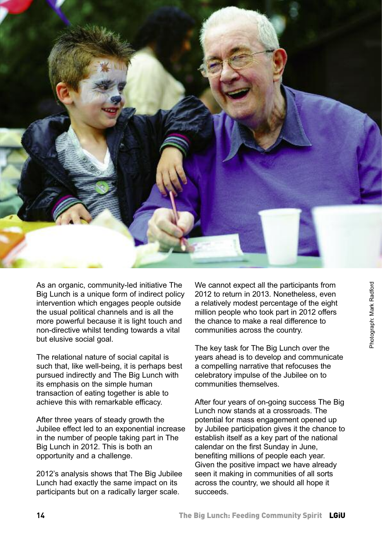

As an organic, community-led initiative The Big Lunch is a unique form of indirect policy intervention which engages people outside the usual political channels and is all the more powerful because it is light touch and non-directive whilst tending towards a vital but elusive social goal.

The relational nature of social capital is such that, like well-being, it is perhaps best pursued indirectly and The Big Lunch with its emphasis on the simple human transaction of eating together is able to achieve this with remarkable efficacy.

After three years of steady growth the Jubilee effect led to an exponential increase in the number of people taking part in The Big Lunch in 2012. This is both an opportunity and a challenge.

2012's analysis shows that The Big Jubilee Lunch had exactly the same impact on its participants but on a radically larger scale.

We cannot expect all the participants from 2012 to return in 2013. Nonetheless, even a relatively modest percentage of the eight million people who took part in 2012 offers the chance to make a real difference to communities across the country.

The key task for The Big Lunch over the years ahead is to develop and communicate a compelling narrative that refocuses the celebratory impulse of the Jubilee on to communities themselves.

After four years of on-going success The Big Lunch now stands at a crossroads. The potential for mass engagement opened up by Jubilee participation gives it the chance to establish itself as a key part of the national calendar on the first Sunday in June, benefiting millions of people each year. Given the positive impact we have already seen it making in communities of all sorts across the country, we should all hope it succeeds.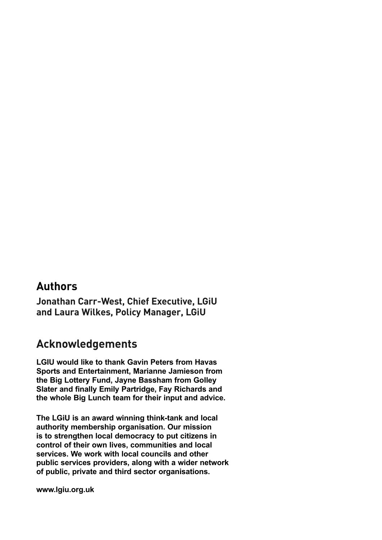### **Authors**

**Jonathan Carr-West, Chief Executive, LGiU and Laura Wilkes, Policy Manager, LGiU**

### **Acknowledgements**

**LGIU would like to thank Gavin Peters from Havas Sports and Entertainment, Marianne Jamieson from the Big Lottery Fund, Jayne Bassham from Golley Slater and finally Emily Partridge, Fay Richards and the whole Big Lunch team for their input and advice.**

**The LGiU is an award winning think-tank and local authority membership organisation. Our mission is to strengthen local democracy to put citizens in control of their own lives, communities and local services. We work with local councils and other public services providers, along with a wider network of public, private and third sector organisations.**

**www.lgiu.org.uk**